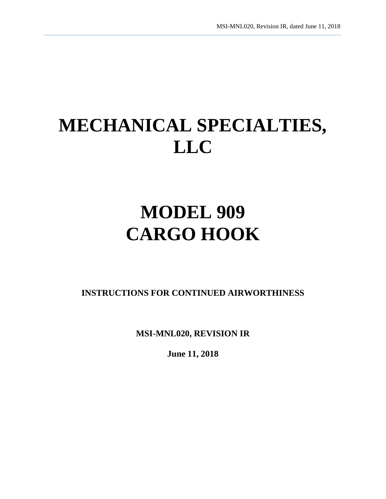# **MECHANICAL SPECIALTIES, LLC**

# **MODEL 909 CARGO HOOK**

**INSTRUCTIONS FOR CONTINUED AIRWORTHINESS** 

**MSI-MNL020, REVISION IR**

**June 11, 2018**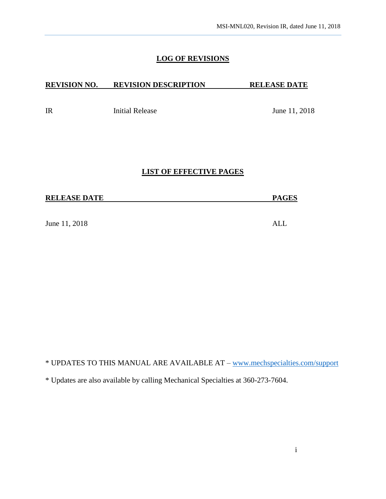### **LOG OF REVISIONS**

## **REVISION NO. REVISION DESCRIPTION RELEASE DATE**

IR Initial Release June 11, 2018

#### **LIST OF EFFECTIVE PAGES**

June 11, 2018 ALL

\* UPDATES TO THIS MANUAL ARE AVAILABLE AT – [www.mechspecialties.com/support](http://www.mechspecialties.com/support)

\* Updates are also available by calling Mechanical Specialties at 360-273-7604.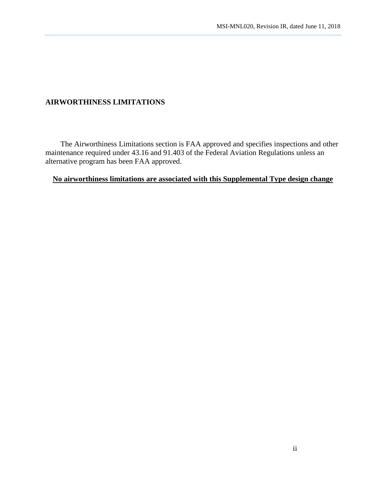## **AIRWORTHINESS LIMITATIONS**

 The Airworthiness Limitations section is FAA approved and specifies inspections and other maintenance required under 43.16 and 91.403 of the Federal Aviation Regulations unless an alternative program has been FAA approved.

# **No airworthiness limitations are associated with this Supplemental Type design change**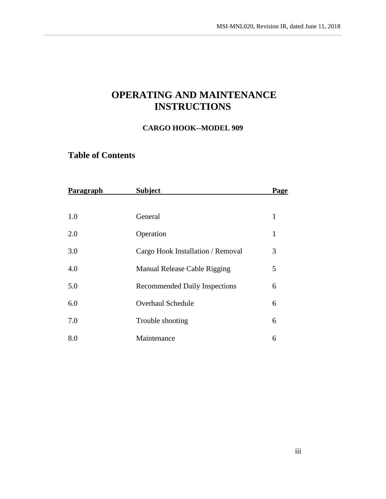# **OPERATING AND MAINTENANCE INSTRUCTIONS**

### **CARGO HOOK--MODEL 909**

# **Table of Contents**

| Paragraph | <b>Subject</b>                       | Page         |
|-----------|--------------------------------------|--------------|
|           |                                      |              |
| 1.0       | General                              | $\mathbf{1}$ |
| 2.0       | Operation                            | $\mathbf{1}$ |
| 3.0       | Cargo Hook Installation / Removal    | 3            |
| 4.0       | Manual Release Cable Rigging         | 5            |
| 5.0       | <b>Recommended Daily Inspections</b> | 6            |
| 6.0       | <b>Overhaul Schedule</b>             | 6            |
| 7.0       | Trouble shooting                     | 6            |
| 8.0       | Maintenance                          | 6            |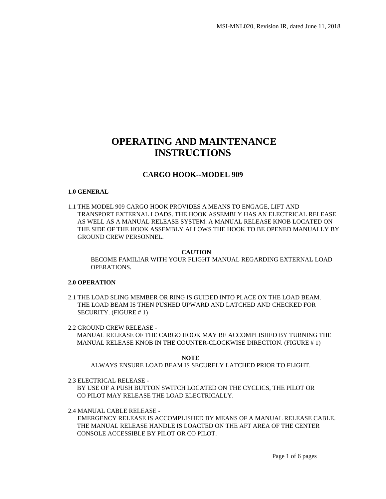# **OPERATING AND MAINTENANCE INSTRUCTIONS**

#### **CARGO HOOK--MODEL 909**

#### **1.0 GENERAL**

1.1 THE MODEL 909 CARGO HOOK PROVIDES A MEANS TO ENGAGE, LIFT AND TRANSPORT EXTERNAL LOADS. THE HOOK ASSEMBLY HAS AN ELECTRICAL RELEASE AS WELL AS A MANUAL RELEASE SYSTEM. A MANUAL RELEASE KNOB LOCATED ON THE SIDE OF THE HOOK ASSEMBLY ALLOWS THE HOOK TO BE OPENED MANUALLY BY GROUND CREW PERSONNEL.

#### **CAUTION**

BECOME FAMILIAR WITH YOUR FLIGHT MANUAL REGARDING EXTERNAL LOAD OPERATIONS.

#### **2.0 OPERATION**

2.1 THE LOAD SLING MEMBER OR RING IS GUIDED INTO PLACE ON THE LOAD BEAM. THE LOAD BEAM IS THEN PUSHED UPWARD AND LATCHED AND CHECKED FOR SECURITY. (FIGURE # 1)

2.2 GROUND CREW RELEASE -

 MANUAL RELEASE OF THE CARGO HOOK MAY BE ACCOMPLISHED BY TURNING THE MANUAL RELEASE KNOB IN THE COUNTER-CLOCKWISE DIRECTION. (FIGURE # 1)

**NOTE**

ALWAYS ENSURE LOAD BEAM IS SECURELY LATCHED PRIOR TO FLIGHT.

2.3 ELECTRICAL RELEASE -

BY USE OF A PUSH BUTTON SWITCH LOCATED ON THE CYCLICS, THE PILOT OR CO PILOT MAY RELEASE THE LOAD ELECTRICALLY.

2.4 MANUAL CABLE RELEASE -

 EMERGENCY RELEASE IS ACCOMPLISHED BY MEANS OF A MANUAL RELEASE CABLE. THE MANUAL RELEASE HANDLE IS LOACTED ON THE AFT AREA OF THE CENTER CONSOLE ACCESSIBLE BY PILOT OR CO PILOT.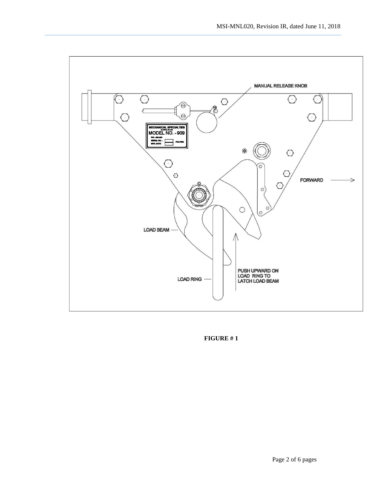

**FIGURE # 1**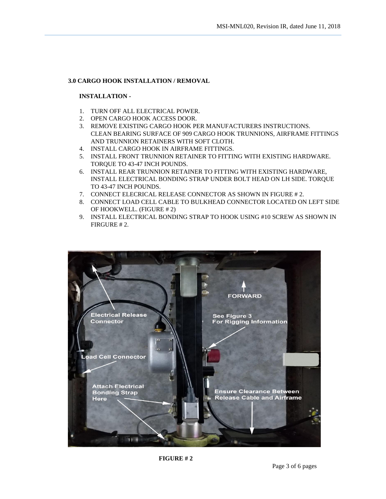#### **3.0 CARGO HOOK INSTALLATION / REMOVAL**

#### **INSTALLATION -**

- 1. TURN OFF ALL ELECTRICAL POWER.
- 2. OPEN CARGO HOOK ACCESS DOOR.
- 3. REMOVE EXISTING CARGO HOOK PER MANUFACTURERS INSTRUCTIONS. CLEAN BEARING SURFACE OF 909 CARGO HOOK TRUNNIONS, AIRFRAME FITTINGS AND TRUNNION RETAINERS WITH SOFT CLOTH.
- 4. INSTALL CARGO HOOK IN AIRFRAME FITTINGS.
- 5. INSTALL FRONT TRUNNION RETAINER TO FITTING WITH EXISTING HARDWARE. TORQUE TO 43-47 INCH POUNDS.
- 6. INSTALL REAR TRUNNION RETAINER TO FITTING WITH EXISTING HARDWARE, INSTALL ELECTRICAL BONDING STRAP UNDER BOLT HEAD ON LH SIDE. TORQUE TO 43-47 INCH POUNDS.
- 7. CONNECT ELECRICAL RELEASE CONNECTOR AS SHOWN IN FIGURE # 2.
- 8. CONNECT LOAD CELL CABLE TO BULKHEAD CONNECTOR LOCATED ON LEFT SIDE OF HOOKWELL. (FIGURE # 2)
- 9. INSTALL ELECTRICAL BONDING STRAP TO HOOK USING #10 SCREW AS SHOWN IN FIRGURE # 2.

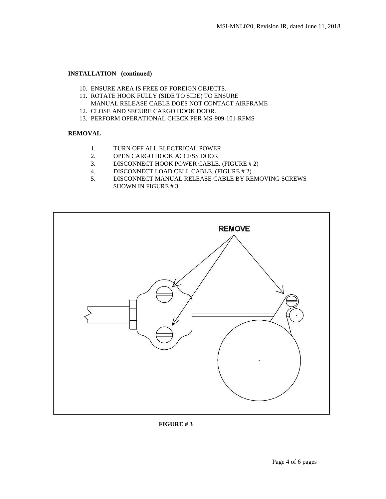#### **INSTALLATION (continued)**

- 10. ENSURE AREA IS FREE OF FOREIGN OBJECTS.
- 11. ROTATE HOOK FULLY (SIDE TO SIDE) TO ENSURE MANUAL RELEASE CABLE DOES NOT CONTACT AIRFRAME
- 12. CLOSE AND SECURE CARGO HOOK DOOR.
- 13. PERFORM OPERATIONAL CHECK PER MS-909-101-RFMS

#### **REMOVAL –**

- 1. TURN OFF ALL ELECTRICAL POWER.
- 2. OPEN CARGO HOOK ACCESS DOOR
- 3. DISCONNECT HOOK POWER CABLE. (FIGURE # 2)
- 4. DISCONNECT LOAD CELL CABLE. (FIGURE # 2)
- 5. DISCONNECT MANUAL RELEASE CABLE BY REMOVING SCREWS SHOWN IN FIGURE # 3.



**FIGURE # 3**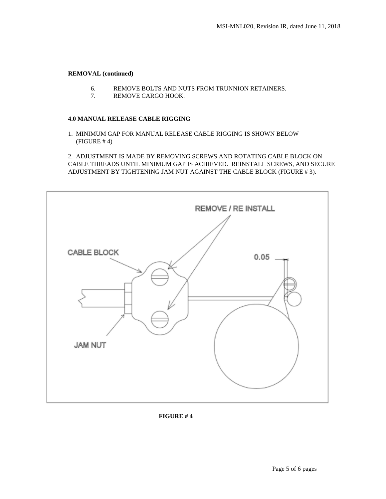#### **REMOVAL (continued)**

- 6. REMOVE BOLTS AND NUTS FROM TRUNNION RETAINERS.
- 7. REMOVE CARGO HOOK.

#### **4.0 MANUAL RELEASE CABLE RIGGING**

1. MINIMUM GAP FOR MANUAL RELEASE CABLE RIGGING IS SHOWN BELOW (FIGURE # 4)

2. ADJUSTMENT IS MADE BY REMOVING SCREWS AND ROTATING CABLE BLOCK ON CABLE THREADS UNTIL MINIMUM GAP IS ACHIEVED. REINSTALL SCREWS, AND SECURE ADJUSTMENT BY TIGHTENING JAM NUT AGAINST THE CABLE BLOCK (FIGURE # 3).



#### **FIGURE # 4**